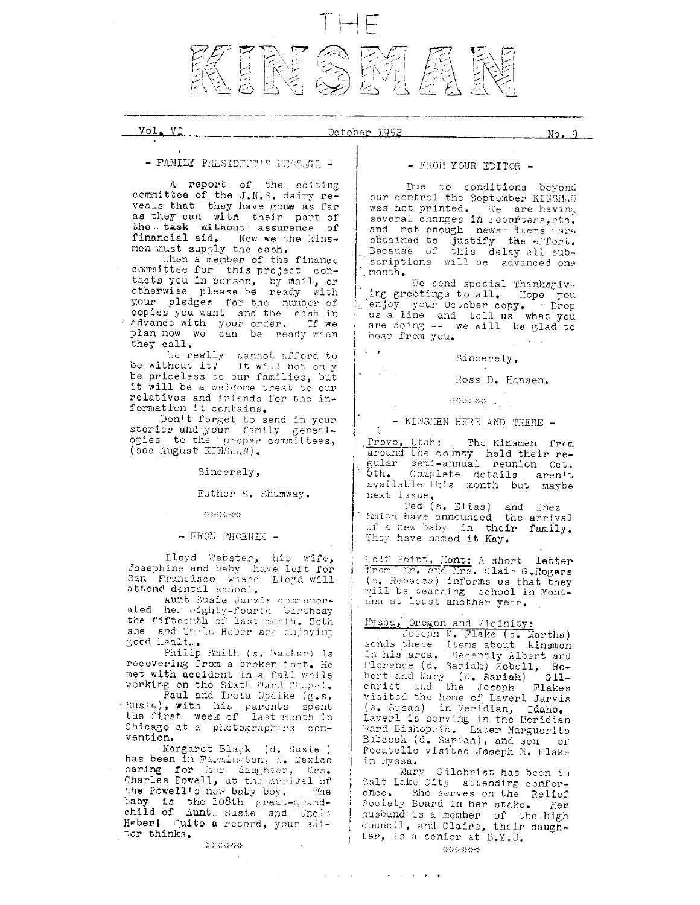

## Vol. VI

### October 1952

 $No. 9$ 

- FAMILY PRESIDENT'S MESS.GE -

A report of the editing committee of the J.N.S. dairy reveals that they have gone as far<br>as they can with their part of<br>the task without assurance of financial aid. Now we the kinsmen must supply the cash.

When a member of the finance committee for this project contacts you in person, by mail, or<br>otherwise please be ready with your pledges for the number of copies you want and the number of<br>advance with your order. If we<br>plan now with your order. If we plan now we can be ready when they call.

be really cannot afford to<br>be without it. It will not only be priceless to our families, but it will be a welcome treat to our relatives and friends for the information it contains.

Don't forget to send in your stories and your family genealogies to the proper committees, (see August KINSLAN).

Sincerely,

# Esther S. Shumway.

**Instructions** 

- FROM PHOENIX -

Lloyd Webster, his wife, Josephine and baby have left for San Francisco where Lloyd will attend dental school.

Aunt Susie Jarvis commemorated her eighty-fourth birthday<br>the fifteenth of last menth. Both she and Utrie Heber are enjoying good healt...

Philip Smith (s. Walter) is recovering from a broken foot. He met with accident in a fall while working on the Sixth Ward Chapel.

Paul and Ireta Updike (g.s. Susia), with his parents spent<br>the first week of last month in Chicago at a photographers convention.

Margaret Black (d. Susie)<br>has been in Farmington, N. Mexico<br>caring for her daughter, Mrs. Charles Powell, at the arrival of the Powell's new baby boy. The taby is the 108th graat-grand-child of Aunt Susie and Uncle Heber! Quite a record, your slitor thinks.

### \*\*\*\*\*\*

## - FROM YOUR EDITOR -

Due to conditions beyond our control the September KINSMAN was not printed. We are having several changes in reporters, etc. and not enough news terms rare<br>obtained to justify the effort.<br>Because of this delay all subscriptions will be advanced one month.

We send special Thanksgiving greetings to all. Hope you enjoy your October copy. Thop us a line and tell us what you are doing -- we will be glad to hear from you.

Sincerely,

Ross D. Hansen.

sebasi wa U

- KINSMEN HERE AND THERE -

Provo, Utah: The Kinsmen from<br>around the county held their regular semi-annual reunion Oct.<br>bth. Complete details aren't available this month but maybe next issue.

Ted (s. Elias) and Inez<br>Smith have announced the arrival of a new baby in their family. They have named it Kay.

Molf Point, Mont: A short letter (s. Rebecca) informs us that they<br>will be teaching school in Montana at least another year.

Nysac, Oregon and Vicinity:<br>Joseph M. Flake (s. Martha)<br>sends these items about kinsmen in his area. Recently Albert and Florence (d. Sariah) Zobell, Robert and Mary (d. Sariah) Gil-<br>christ and the Joseph Flakes visited the home of Laverl Jarvis (s. Susan) in Meridian, Idaho.<br>Laverl is serving in the Meridian<br>Mard Bishopric. Later Marguerite Babcock (d. Sariah), and son or Pocatello visited Joseph M. Flake in Nyssa.

Mary Gilchrist has been in Salt Lake City attending conference. She serves on the Relief Society Board in her stake. Her husband is a member of the high council, and Claire, their daughter, is a senior at B.Y.U.

 $\mathbf{1}$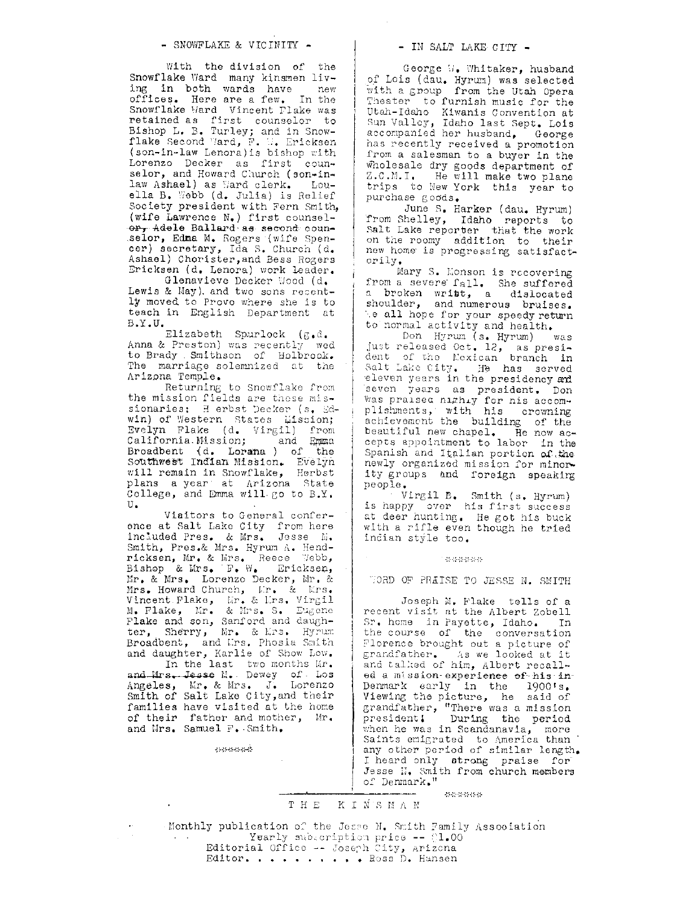### - SNOWFLAKE & VICINITY -

With the division of the Snowflake Ward many kinsmen living in both wards have new offices. Here are a few. In the Snowflake Mard Vincent Flake was retained as first counselor to<br>Bishop L. B. Turley; and in Snowflake Second Ward, F. W. Ericksen<br>(son-in-law Lenora) is bishop with Lorenzo Decker as first counselor, and Howard Church (son-inlaw Ashael) as Ward clerk. Louella B. Webb (d. Julia) is Relief Society president with Fern Smith, (wife Lawrence N.) first counselor, Adele Ballard as second counselor, Edma M. Rogers (wife Spencer) secretary, Ida S. Church (d. Ashael) Chorister, and Bess Rogers Ericksen (d. Lenora) work leader.

Glenavieve Decker Wood (d. Lewis & May), and two sons recently moved to Provo where she is to teach in English Department at  $B.Y.U.$ 

Elizabeth Spurlock (g.d. Anna & Preston) was recently wed to Brady Smithson of Holbrook. The marriage solemnized at the Arizona Temple.

Returning to Snowflake from the mission fields are these missionaries: Herbst Decker (s. Edwin) of Western States Eission; Evelyn Flake (d. Virgil) from<br>California Mission; and Emma<br>Broadbent (d. Lorana) of the<br>Southwest Indian Mission. Evelyn will remain in Snowflake, Herbst plans a year at Arizona State<br>College, and Emma will go to B.Y.  $\mathtt{U}$  .

Viaitors to General conference at Salt Lake City from here<br>included Pres. & Mrs. Jesse M. Smith, Pres.& Mrs. Hyrum A. Hendricksen, Mr. & Mrs. Reece Webb, Bishop & Mrs. F. W. Ericksen, Mr. & Mrs. Lorenzo Decker, Mr. & Mrs. Howard Church, Kr. & Krs.<br>Vincent Flake, Kr. & Krs. Virgil<br>M. Flake, Kr. & Mrs. S. Eugene<br>Flake and son, Sanford and daughter, Sherry, Mr. & Mrs. Hyrum Broadbent, and Lrs. Phosia Smith

broadcent, and Lrs. Phosia Smith<br>and daughter, Karlie of Show Low.<br>In the last two months Mr.<br>and Mrs. Jesse M. Dewey of Los<br>Angeles, Mr. & Mrs. J. Lorenzo<br>Smith of Salt Lake City, and their families have visited at the home of their father and mother, Mr.<br>and Mrs. Samuel F. Smith.

الإسروليون ويتورب

### - IN SALT LAKE CITY -

George W. Whitaker, husband of Lois (dau, Hyrum) was selected<br>with a group from the Utah Opera<br>Theater to furnish music for the Utah-Idaho Kiwanis Convention at Sun Valley, Idaho last Sept. Lois<br>accompanied her husband, George has recently received a promotion from a salesman to a buyer in the wholesale dry goods department of Z.C.M.I. He will make two plane trips to New York this year to purchase goods.

June S. Harker (dau. Hyrum) from Shelley, Idaho reports to Salt Lake reporter that the work<br>on the roomy addition to their<br>new home is progressing satisfactorily.

Mary S. Monson is recovering from a severe fall. She suffered<br>a broken writt, a dislocated shoulder, and numerous bruises. e all hope for your speedy return to normal activity and health.

Don Hyrum (s. Hyrum) was just released Oct. 12, as presi-<br>dent of the Nexican branch in<br>Salt Lake City. He has served eleven years in the presidency and seven years as president. Don was praised nightly for his accom-<br>plishments, with his crowning<br>achievement the building of the beautiful new chapel. He now accepts appointment to labor in the Spanish and Italian portion of the newly organized mission for minority groups and foreign speaking people.

Virgil B. Smith (s. Hyrum)<br>is happy over his first success at deer hunting. He got his buck with a rifle even though he tried indian style too.

14646464646

WORD OF PRAISE TO JESSE N. SMITH

Joseph M. Flake tells of a recent visit at the Albert Zobell Sr. home in Payette, Idaho. In the course of the conversation Florence brought out a picture of grandfather. As we looked at it and talked of him, Albert recalled a mission experience of his in-Denmark early in the 1900's. Viewing the picture, he said of<br>grandfather, "There was a mission<br>president! During the period<br>when he was in Scandanavia, more Saints emigrated to America than any other period of similar length. I heard only strong praise for Jesse N. Smith from church members of Denmark."

\*\*\*\*\*\*

### THE KINSMAN

Monthly publication of the Jesse N. Smith Family Association Yearly subcoription price -- 01.00 Editorial Office -- Joseph City, Arizona Editor. . . . . . . . . Ross D. Hansen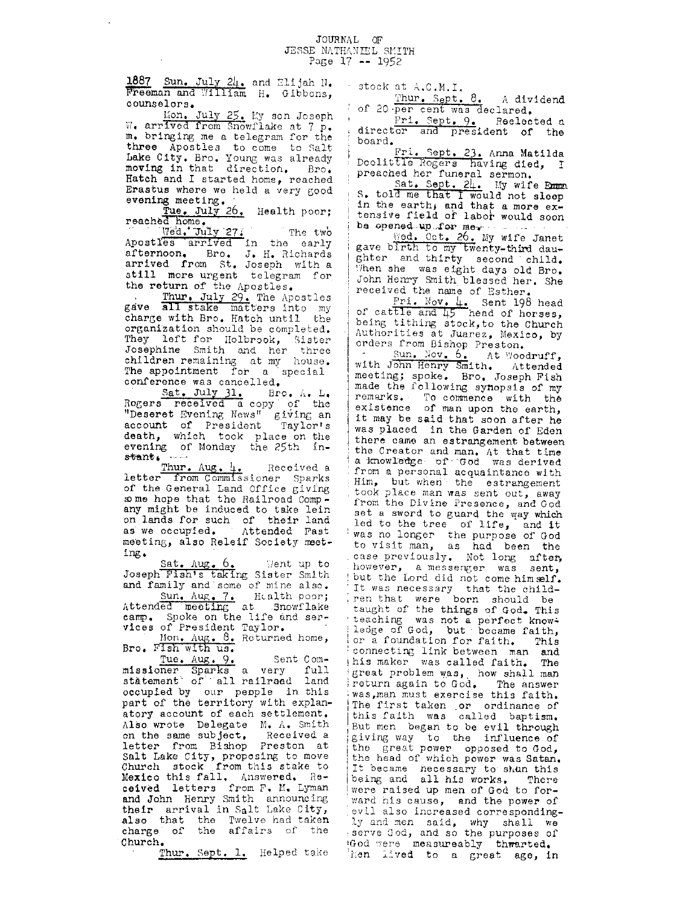### JOURNAL OF JESSE NATHANIEL SMITH Page  $17 - 1952$

1887 Sun. July 24. and Elijah N. Freeman and William H. Gibbons, counselors.

Mon. July 25. My son Joseph W. arrived from Snowflake at 7 p. m. bringing me a telegram for the three Apostles to come to Salt Lake City. Bro. Young was already moving in that direction. Bro. Hatch and I started home, reached Erastus where we held a very good evening meeting.<br>Tue. July 26. Health poor;

reached home.

Med. July 27. The two Apostles arrived in the early<br>afternoon. Bro. J. H. Richards<br>arrived from St. Joseph with a still more urgent telegram for the return of the Apostles.

Thur, July 29. The Apostles<br>gave all stake matters into my<br>charge with Bro. Hatch until the organization should be completed. They left for Holbrook, Sister<br>Josephine Smith and her three<br>children remaining at my house. The appointment for a special conference was cancelled.

Sat. July 31. Bro. A. L. Rogers received a copy of the "Deseret Evening News" giving an account of President Taylor's death, which took place on the evening of Monday the 25th in- $\mathbf{start}, \dots$ 

Thur. Aug. 4. Received a letter from Commissioner Sparks of the General Land Office giving some hope that the Railroad Company might be induced to take lein on lands for such of their land as we occupied. Attended Fast meeting, also Releif Society meet $ing.$ 

Sat. Aug. 6. Went up to<br>Joseph Fish's taking Sister Smith and family and some of mine also. Sun. Aug. 7. Health poor; Attended meeting at Snowflake camp. Spoke on the life and services of President Taylor.

Mon. Aug. 8. Returned home, Bro. Fish with us.

Tue, Aug, 9, Sent Com-<br>missioner Sparks a very full<br>stätement of all railraad land occupied by our people in this part of the territory with explanatory account of each settlement. Also wrote Delegate M. A. Smith on the same subject. Received a letter from Bishop Preston at Salt Lake City, proposing to move<br>Church stock from this stake to<br>Mexico this fall. Answered. Received letters from F. M. Lyman and John Henry Smith announcing their arrival in Salt Lake City,<br>also that the Twelve had taken<br>charge of the affairs of the Church.

Thur. Sept. 1. Helped take

stock at A.C.M.I.

Thur. Sept. 8. A dividend of 20 per cent was declared.

Fri. Sept. 9. Reelected a director and president of the board.

Fri. Sept. 23. Anna Matilda<br>Doolittle Rogers having died, I preached her funeral sermon.

Sat. Sept. 24. My wife Emm.<br>S. told me that I would not sleep<br>in the earth, and that a more ex-<br>tensive field of labor would soon be opened up for me.

Wed. Oct. 26. My wife Janet gave birth to my twenty-third daughter and thirty second child. When she was eight days old Bro. John Henry Smith blessed her. She received the name of Esther.

Fri. Nov. 4. Sent 198 head<br>of cattle and 45 head of horses, being tithing stock, to the Church Authorities at Juarez, Mexico, by orders from Bishop Preston.

Sun. Nov. 6. At Woodruff, with John Henry Smith. Attended meeting; spoke. Bro. Joseph Fish made the following synopsis of my remarks. To commence with the existence of man upon the earth, it may be said that soon after he was placed in the Garden of Eden there came an estrangement between the Creator and man. At that time a knowledge of God was derived from a personal acquaintance with Him, but when the estrangement took place man was sent out, away from the Divine Presence, and God set a sword to guard the way which led to the tree of life, and it was no longer the purpose of God to visit man, as had been the case previously. Not long after, however, a messenger was sent, but the Lord did not come himself. It was necessary that the child-<br>ren that were born should be<br>taught of the things of God. This teaching was not a perfect knowledge of God, but became faith, or a foundation for faith. This connecting link between man and this maker was called faith. The great problem was, how shall man return again to God. The answer was man must exercise this faith. The first taken or ordinance of this faith was called baptism. But men began to be evil through giving way to the influence of<br>the great power opposed to God,<br>the head of which power was Satan. It became necessary to shan this<br>being and all his works. There were raised up men of God to forward his cause, and the power of evil also increased correspondingly and men said, why shall we<br>serve God, and so the purposes of God were measureably thwarted. hen lived to a great age, in